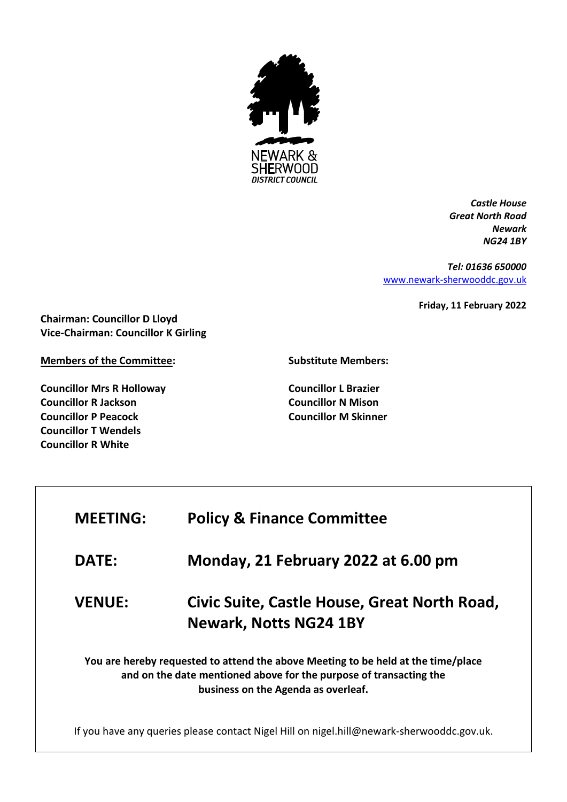

*Castle House Great North Road Newark NG24 1BY*

*Tel: 01636 650000* [www.newark-sherwooddc.gov.uk](http://www.newark-sherwooddc.gov.uk/)

**Friday, 11 February 2022**

**Chairman: Councillor D Lloyd Vice-Chairman: Councillor K Girling**

**Members of the Committee:**

**Councillor Mrs R Holloway Councillor R Jackson Councillor P Peacock Councillor T Wendels Councillor R White**

**Substitute Members:**

**Councillor L Brazier Councillor N Mison Councillor M Skinner**

| <b>MEETING:</b>                                                                                                                                                                                | <b>Policy &amp; Finance Committee</b>                                         |  |
|------------------------------------------------------------------------------------------------------------------------------------------------------------------------------------------------|-------------------------------------------------------------------------------|--|
| <b>DATE:</b>                                                                                                                                                                                   | Monday, 21 February 2022 at 6.00 pm                                           |  |
| <b>VENUE:</b>                                                                                                                                                                                  | Civic Suite, Castle House, Great North Road,<br><b>Newark, Notts NG24 1BY</b> |  |
| You are hereby requested to attend the above Meeting to be held at the time/place<br>and on the date mentioned above for the purpose of transacting the<br>business on the Agenda as overleaf. |                                                                               |  |
| If you have any queries please contact Nigel Hill on nigel.hill@newark-sherwooddc.gov.uk.                                                                                                      |                                                                               |  |